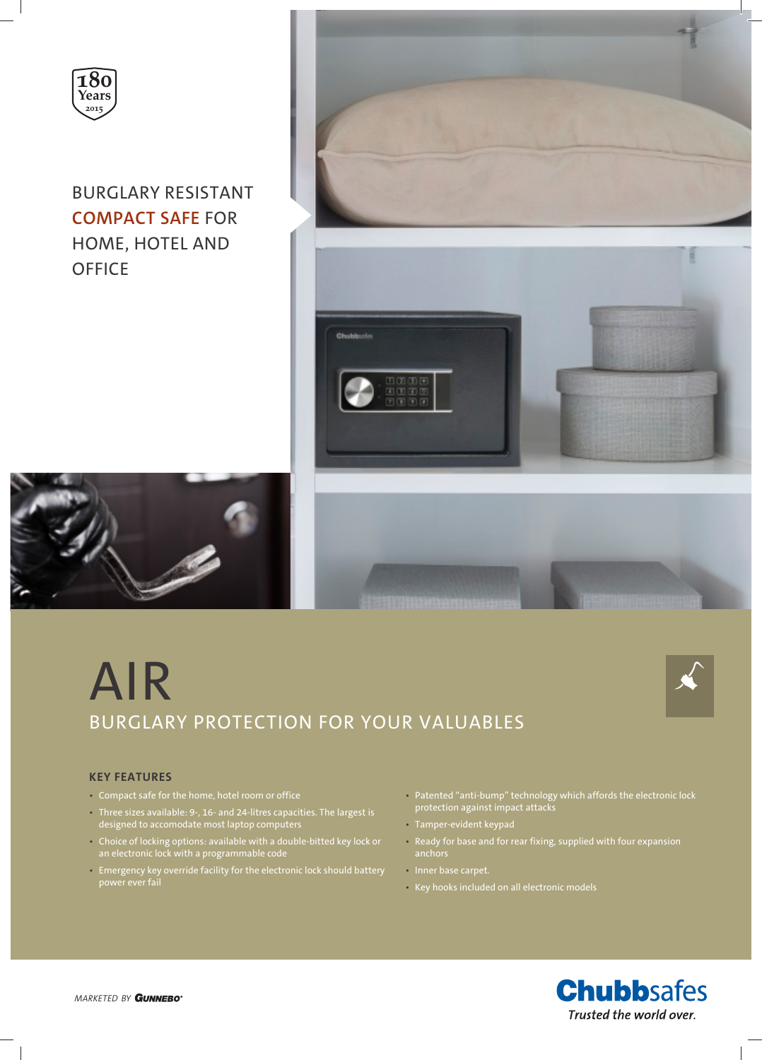

BURGLARY RESISTANT **COMPACT SAFE** FOR HOME, HOTEL AND **OFFICE** 









### **KEY FEATURES**

- Compact safe for the home, hotel room or office
- Three sizes available: 9-, 16- and 24-litres capacities. The largest is designed to accomodate most laptop computers
- Choice of locking options: available with a double-bitted key lock or an electronic lock with a programmable code
- Emergency key override facility for the electronic lock should battery power ever fail
- Patented "anti-bump" technology which affords the electronic lock protection against impact attacks
- Tamper-evident keypad
- Ready for base and for rear fixing, supplied with four expansion anchors
- Inner base carpet.
- Key hooks included on all electronic models